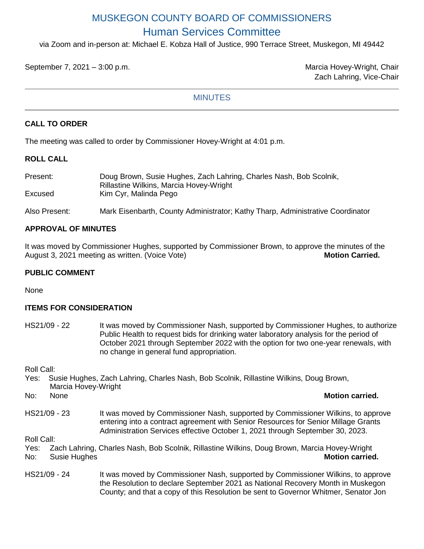# MUSKEGON COUNTY BOARD OF COMMISSIONERS Human Services Committee

via Zoom and in-person at: Michael E. Kobza Hall of Justice, 990 Terrace Street, Muskegon, MI 49442

September 7, 2021 – 3:00 p.m. Marcia Hovey-Wright, Chair

Zach Lahring, Vice-Chair

## **MINUTES**

# **CALL TO ORDER**

The meeting was called to order by Commissioner Hovey-Wright at 4:01 p.m.

## **ROLL CALL**

| Present:      | Doug Brown, Susie Hughes, Zach Lahring, Charles Nash, Bob Scolnik,<br><b>Rillastine Wilkins, Marcia Hovey-Wright</b> |
|---------------|----------------------------------------------------------------------------------------------------------------------|
| Excused       | Kim Cyr, Malinda Pego                                                                                                |
| Also Present: | Mark Eisenbarth, County Administrator; Kathy Tharp, Administrative Coordinator                                       |

# **APPROVAL OF MINUTES**

It was moved by Commissioner Hughes, supported by Commissioner Brown, to approve the minutes of the<br>August 3, 2021 meeting as written. (Voice Vote) August 3, 2021 meeting as written. (Voice Vote)

## **PUBLIC COMMENT**

None

# **ITEMS FOR CONSIDERATION**

HS21/09 - 22 It was moved by Commissioner Nash, supported by Commissioner Hughes, to authorize Public Health to request bids for drinking water laboratory analysis for the period of October 2021 through September 2022 with the option for two one-year renewals, with no change in general fund appropriation.

Roll Call:

- Yes: Susie Hughes, Zach Lahring, Charles Nash, Bob Scolnik, Rillastine Wilkins, Doug Brown,
- Marcia Hovey-Wright No: None **Motion carried.**
- 
- 
- HS21/09 23 It was moved by Commissioner Nash, supported by Commissioner Wilkins, to approve entering into a contract agreement with Senior Resources for Senior Millage Grants Administration Services effective October 1, 2021 through September 30, 2023.

Roll Call:

| Yes: | Zach Lahring, Charles Nash, Bob Scolnik, Rillastine Wilkins, Doug Brown, Marcia Hovey-Wright |  |                        |
|------|----------------------------------------------------------------------------------------------|--|------------------------|
| No:  | Susie Hughes                                                                                 |  | <b>Motion carried.</b> |

HS21/09 - 24 It was moved by Commissioner Nash, supported by Commissioner Wilkins, to approve the Resolution to declare September 2021 as National Recovery Month in Muskegon County; and that a copy of this Resolution be sent to Governor Whitmer, Senator Jon